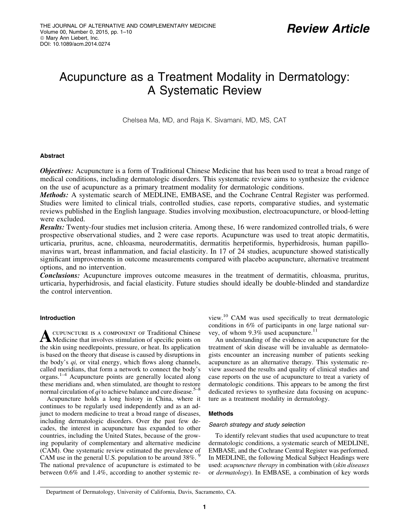# Acupuncture as a Treatment Modality in Dermatology: A Systematic Review

Chelsea Ma, MD, and Raja K. Sivamani, MD, MS, CAT

## Abstract

**Objectives:** Acupuncture is a form of Traditional Chinese Medicine that has been used to treat a broad range of medical conditions, including dermatologic disorders. This systematic review aims to synthesize the evidence on the use of acupuncture as a primary treatment modality for dermatologic conditions.

Methods: A systematic search of MEDLINE, EMBASE, and the Cochrane Central Register was performed. Studies were limited to clinical trials, controlled studies, case reports, comparative studies, and systematic reviews published in the English language. Studies involving moxibustion, electroacupuncture, or blood-letting were excluded.

Results: Twenty-four studies met inclusion criteria. Among these, 16 were randomized controlled trials, 6 were prospective observational studies, and 2 were case reports. Acupuncture was used to treat atopic dermatitis, urticaria, pruritus, acne, chloasma, neurodermatitis, dermatitis herpetiformis, hyperhidrosis, human papillomavirus wart, breast inflammation, and facial elasticity. In 17 of 24 studies, acupuncture showed statistically significant improvements in outcome measurements compared with placebo acupuncture, alternative treatment options, and no intervention.

Conclusions: Acupuncture improves outcome measures in the treatment of dermatitis, chloasma, pruritus, urticaria, hyperhidrosis, and facial elasticity. Future studies should ideally be double-blinded and standardize the control intervention.

# Introduction

**A** CUPUNCTURE IS A COMPONENT OF Traditional Chinese<br>Medicine that involves stimulation of specific points on the skin using needlepoints, pressure, or heat. Its application is based on the theory that disease is caused by disruptions in the body's *qi,* or vital energy, which flows along channels, called meridians, that form a network to connect the body's organs.<sup>1–4</sup> Acupuncture points are generally located along these meridians and, when stimulated, are thought to restore normal circulation of  $qi$  to achieve balance and cure disease.<sup>5–8</sup>

Acupuncture holds a long history in China, where it continues to be regularly used independently and as an adjunct to modern medicine to treat a broad range of diseases, including dermatologic disorders. Over the past few decades, the interest in acupuncture has expanded to other countries, including the United States, because of the growing popularity of complementary and alternative medicine (CAM). One systematic review estimated the prevalence of CAM use in the general U.S. population to be around 38%.<sup>9</sup> The national prevalence of acupuncture is estimated to be between 0.6% and 1.4%, according to another systemic review.10 CAM was used specifically to treat dermatologic conditions in 6% of participants in one large national survey, of whom 9.3% used acupuncture.<sup>11</sup>

An understanding of the evidence on acupuncture for the treatment of skin disease will be invaluable as dermatologists encounter an increasing number of patients seeking acupuncture as an alternative therapy. This systematic review assessed the results and quality of clinical studies and case reports on the use of acupuncture to treat a variety of dermatologic conditions. This appears to be among the first dedicated reviews to synthesize data focusing on acupuncture as a treatment modality in dermatology.

## Methods

## Search strategy and study selection

To identify relevant studies that used acupuncture to treat dermatologic conditions, a systematic search of MEDLINE, EMBASE, and the Cochrane Central Register was performed. In MEDLINE, the following Medical Subject Headings were used: *acupuncture therapy* in combination with (*skin diseases* or *dermatology*). In EMBASE, a combination of key words

Department of Dermatology, University of California, Davis, Sacramento, CA.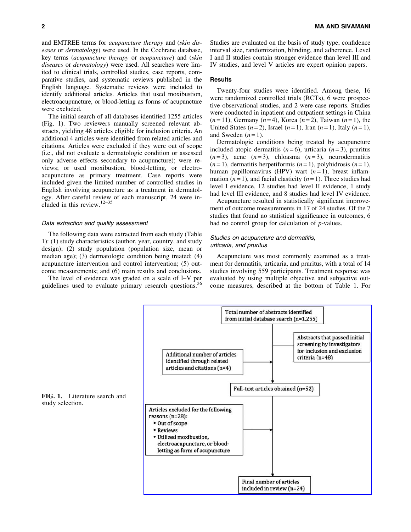and EMTREE terms for *acupuncture therapy* and (*skin diseases* or *dermatology*) were used. In the Cochrane database, key terms (*acupuncture therapy* or *acupuncture*) and (*skin diseases* or *dermatology*) were used. All searches were limited to clinical trials, controlled studies, case reports, comparative studies, and systematic reviews published in the English language. Systematic reviews were included to identify additional articles. Articles that used moxibustion, electroacupuncture, or blood-letting as forms of acupuncture were excluded.

The initial search of all databases identified 1255 articles (Fig. 1). Two reviewers manually screened relevant abstracts, yielding 48 articles eligible for inclusion criteria. An additional 4 articles were identified from related articles and citations. Articles were excluded if they were out of scope (i.e., did not evaluate a dermatologic condition or assessed only adverse effects secondary to acupuncture); were reviews; or used moxibustion, blood-letting, or electroacupuncture as primary treatment. Case reports were included given the limited number of controlled studies in English involving acupuncture as a treatment in dermatology. After careful review of each manuscript, 24 were included in this review.12–35

#### Data extraction and quality assessment

The following data were extracted from each study (Table 1): (1) study characteristics (author, year, country, and study design); (2) study population (population size, mean or median age); (3) dermatologic condition being treated; (4) acupuncture intervention and control intervention; (5) outcome measurements; and (6) main results and conclusions.

The level of evidence was graded on a scale of I–V per guidelines used to evaluate primary research questions.<sup>36</sup>

Studies are evaluated on the basis of study type, confidence interval size, randomization, blinding, and adherence. Level I and II studies contain stronger evidence than level III and IV studies, and level V articles are expert opinion papers.

#### **Results**

Twenty-four studies were identified. Among these, 16 were randomized controlled trials (RCTs), 6 were prospective observational studies, and 2 were case reports. Studies were conducted in inpatient and outpatient settings in China (*n* = 11), Germany (*n* = 4), Korea (*n* = 2), Taiwan (*n* = 1), the United States  $(n=2)$ , Israel  $(n=1)$ , Iran  $(n=1)$ , Italy  $(n=1)$ , and Sweden  $(n=1)$ .

Dermatologic conditions being treated by acupuncture included atopic dermatitis  $(n=6)$ , urticaria  $(n=3)$ , pruritus  $(n=3)$ , acne  $(n=3)$ , chloasma  $(n=3)$ , neurodermatitis  $(n=1)$ , dermatitis herpetiformis  $(n=1)$ , polyhidrosis  $(n=1)$ , human papillomavirus (HPV) wart  $(n=1)$ , breast inflammation  $(n=1)$ , and facial elasticity  $(n=1)$ . Three studies had level I evidence, 12 studies had level II evidence, 1 study had level III evidence, and 8 studies had level IV evidence.

Acupuncture resulted in statistically significant improvement of outcome measurements in 17 of 24 studies. Of the 7 studies that found no statistical significance in outcomes, 6 had no control group for calculation of *p*-values.

## Studies on acupuncture and dermatitis, urticaria, and pruritus

Acupuncture was most commonly examined as a treatment for dermatitis, urticaria, and pruritus, with a total of 14 studies involving 559 participants. Treatment response was evaluated by using multiple objective and subjective outcome measures, described at the bottom of Table 1. For



# FIG. 1. Literature search and study selection.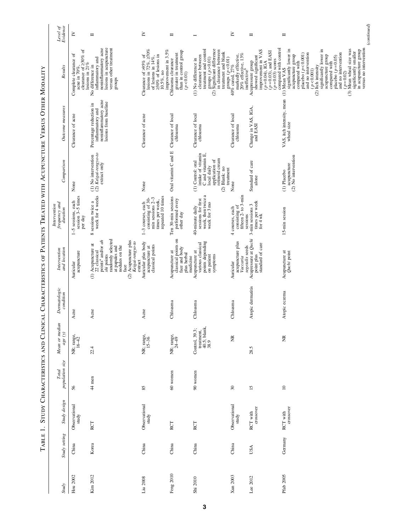| Level of<br>Evidence                      | Ν                                                                                             | $\blacksquare$                                                                                                                                                                                                                         | ≧                                                                                                                                               | ⊨                                                                                 |                                                                                                                                                                                     | Σ                                                                                                                  | $\blacksquare$                                                                                                                                           | (continued)<br>$\blacksquare$                                                                                                                                                                                                                                                                                                                                                             |
|-------------------------------------------|-----------------------------------------------------------------------------------------------|----------------------------------------------------------------------------------------------------------------------------------------------------------------------------------------------------------------------------------------|-------------------------------------------------------------------------------------------------------------------------------------------------|-----------------------------------------------------------------------------------|-------------------------------------------------------------------------------------------------------------------------------------------------------------------------------------|--------------------------------------------------------------------------------------------------------------------|----------------------------------------------------------------------------------------------------------------------------------------------------------|-------------------------------------------------------------------------------------------------------------------------------------------------------------------------------------------------------------------------------------------------------------------------------------------------------------------------------------------------------------------------------------------|
| Results                                   | ð<br>Complete clearance of<br>clearance of $\geq 30\%$ lesions in 21 $\%$<br>acne in $70\%$ , | lesions in acupuncture<br>versus other treatment<br>noninflammatory acne<br>inflammatory and<br>No difference in<br>groups                                                                                                             | lesions in $72\%$ , $\geq 70\%$<br>improvement in 3.5%<br>230% of lesions in<br>Clearance of >95% of<br>of lesions in $14\%$ ,<br>$10.5\%$ , no | than in control group<br>greater in treatment<br>Chloasma clearance<br>(p < 0.01) | groups $(p > 0.01)$<br>Significant difference<br>in clearance between<br>treatment and control<br>treatment and blank<br>clearance between<br>(1) No difference in<br>$\widehat{c}$ | 20% effective, 13%<br>ineffective <sup>b</sup><br>markedly effective.<br>groups ( $p < 0.01$ )<br>40% cured, $27%$ | $(p=0.03)$ scores<br>compared with control<br>improvement in VAS<br>$(p=0.04)$ , IGA<br>$(p=0.03)$ , and EASI<br>showed significant<br>Acupressure group | versus no intervention<br>(3) Mean wheal size was<br>significantly lower in<br>significantly lower in<br>in acupuncture group<br>significantly smaller<br>and no intervention<br>and no intervention<br>placebo $(p < 0.001)$<br>acupuncture group<br>acupuncture group<br>placebo $(p=0.05)$<br>compared with<br>compared with<br>Itch intensity<br>(p < 0.001)<br>$(p=0.02)$<br>$\odot$ |
| Outcome measures                          | Clearance of acne                                                                             | noninflammatory acne<br>lesions from baseline<br>Percentage reduction in<br>inflammatory and                                                                                                                                           | Clearance of acne                                                                                                                               | Clearance of local<br>chloasma                                                    | Clearance of local<br>chloasma                                                                                                                                                      | Clearance of local<br>chloasma                                                                                     | Change in VAS, IGA,<br>and EASI                                                                                                                          | VAS, itch intensity, mean (1) Mean VAS<br>wheal size                                                                                                                                                                                                                                                                                                                                      |
| Comparison                                | None                                                                                          | (1) No intervention<br>(2) $Keigai-rengyo-to$<br>extract only                                                                                                                                                                          | None                                                                                                                                            | Oral vitamin C and E                                                              | (1) Control: oral<br>intake of vitamin<br>C and vitamin E,<br>retinoid cream<br>application of<br>local daily<br>$(2)$ Blank: no<br>treatment                                       | None                                                                                                               | Standard of care<br>alone                                                                                                                                | (2) No intervention<br>acupuncture<br>(1) Placebo                                                                                                                                                                                                                                                                                                                                         |
| frequency and<br>Intervention<br>duration | session 3-5 times<br>1-5 sessions, each<br>per day                                            | week for 4 weeks<br>8 sessions twice a                                                                                                                                                                                                 | times per week,<br>repeated 10 times<br>$min$ sessions $2-3$<br>consisting of 30-<br>1-3 courses, each                                          | Ten 30-min sessions<br>performed every<br>other day                               | week, then twice a<br>week for 3 mo<br>sessions for first<br>40-minute daily                                                                                                        | fifteen 2- to 3-min<br>consisting of<br>4 courses, each<br>sessions                                                | times per week<br>3-min sessions 3<br>for $4$ wk                                                                                                         | 15-min session                                                                                                                                                                                                                                                                                                                                                                            |
| and location<br>Intervention              | acupuncture<br>Auricular                                                                      | shi points<br>randomly selected<br>Acupuncture plus<br>points <sup>a</sup> and/or <i>ah</i><br>Keigai-rengyo-to<br>Acupuncture at<br>nodules on the<br>at papules and<br>22 classical<br>extract<br>face<br>$\ominus$<br>$\widehat{c}$ | Auricular plus body<br>classical points<br>acupuncture at                                                                                       | classical points on<br>face and body<br>Acupuncture at<br>plus herbal<br>medicine | points depending<br>various classical<br>Acupuncture at<br>symptoms<br>on patient                                                                                                   | acupuncture plus<br>segetalis seeds<br>Vaccaria<br>Auricular                                                       | Acupressure at Quchi<br>standard of care<br>point plus                                                                                                   | Acupuncture at<br>Quchi point                                                                                                                                                                                                                                                                                                                                                             |
| Dermatologic<br>condition                 | Acne                                                                                          | Acne                                                                                                                                                                                                                                   | Acne                                                                                                                                            | Chloasma                                                                          | Chloasma                                                                                                                                                                            | Chloasma                                                                                                           | Atopic dermatitis                                                                                                                                        | Atopic eczema                                                                                                                                                                                                                                                                                                                                                                             |
| Mean or median<br>$age\ (y)$              | NR; range,<br>16–42                                                                           | 22.4                                                                                                                                                                                                                                   | NR; range,<br>15-36                                                                                                                             | NR; range,<br>24–49                                                               | 40.5; blank,<br>38.9<br>Control, 39.3;<br>treatment,                                                                                                                                | $\widetilde{\Xi}$                                                                                                  | 28.5                                                                                                                                                     | $\widetilde{\Xi}$                                                                                                                                                                                                                                                                                                                                                                         |
| population size<br><b>Total</b>           | 56                                                                                            | 44 men                                                                                                                                                                                                                                 | 85                                                                                                                                              | 60 women                                                                          | 90 women                                                                                                                                                                            | $30\,$                                                                                                             | $\overline{15}$                                                                                                                                          | $\Xi$                                                                                                                                                                                                                                                                                                                                                                                     |
| Study design                              | Observational<br>study                                                                        | RCT                                                                                                                                                                                                                                    | Observational<br>study                                                                                                                          | RCT                                                                               | RCT                                                                                                                                                                                 | Observational<br>study                                                                                             | crossover<br>RCT with                                                                                                                                    | crossover<br>RCT with                                                                                                                                                                                                                                                                                                                                                                     |
| Study setting                             | China                                                                                         | Korea                                                                                                                                                                                                                                  | China                                                                                                                                           | China                                                                             | China                                                                                                                                                                               | China                                                                                                              | USA                                                                                                                                                      | Germany                                                                                                                                                                                                                                                                                                                                                                                   |
| <b>Study</b>                              | Hou 2002                                                                                      | Kim 2012                                                                                                                                                                                                                               | Liu 2008                                                                                                                                        | Feng 2010                                                                         | Shi 2010                                                                                                                                                                            | Xun 2003                                                                                                           | Lee 2012                                                                                                                                                 | Pfab 2005                                                                                                                                                                                                                                                                                                                                                                                 |

TABLE 1. STUDY CHARACTERISTICS AND CLINICAL CHARACTERISTICS OF PATIENTS TREATED WITH ACUPUNCTURE VERSUS OTHER MODALITY Table 1. Study Characteristics and Clinical Characteristics of Patients Treated with Acupuncture Versus Other Modality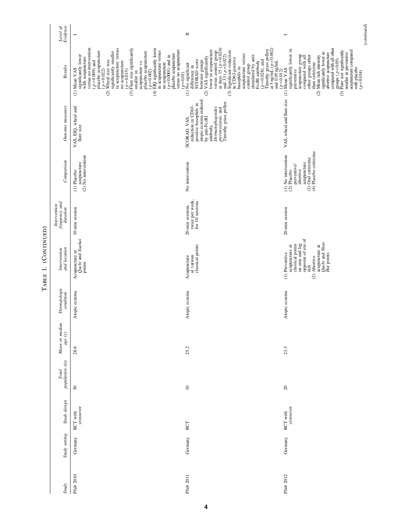| Level of<br>Evidence                      |                                                                                                                                                                                                                                                                                                                                                                                                                                                                                                                                          | $\blacksquare$                                                                                                                                                                                                                                                                                                                                                                                                                                                                |                                                                                                                                                                                                                                                                                                                                                                            |
|-------------------------------------------|------------------------------------------------------------------------------------------------------------------------------------------------------------------------------------------------------------------------------------------------------------------------------------------------------------------------------------------------------------------------------------------------------------------------------------------------------------------------------------------------------------------------------------------|-------------------------------------------------------------------------------------------------------------------------------------------------------------------------------------------------------------------------------------------------------------------------------------------------------------------------------------------------------------------------------------------------------------------------------------------------------------------------------|----------------------------------------------------------------------------------------------------------------------------------------------------------------------------------------------------------------------------------------------------------------------------------------------------------------------------------------------------------------------------|
| Results                                   | versus no intervention<br>in acupuncture versus<br>$(p=0.002)$<br>(4) EIQ significantly lower<br>(3) Flare size significantly<br>in acupuncture versus<br>versus no acupuncture<br>placebo acupuncture<br>$(p=0.022)$<br>placebo acupuncture<br>significantly smaller<br>$(p < 0.0001)$ and in<br>placebo acupuncture<br>significantly lower<br>with acupuncture<br>Wheal size was<br>no acupuncture<br>$(p=0.009)$ and<br>acupuncture vs<br>no acupuncture<br>(1) Mean VAS<br>$(p=0.015)$<br>smaller in<br>$(p=0.01)$<br>$\overline{c}$ | at days 15 ( $p = 0.024$ )<br>at 5 ng/mL $(p=0.002)$<br>$(p=0.028)$ , and<br>Timothy grass pollen<br>VAS significantly<br>lower in acupuncture<br>Significant reduction<br>in CD63-positive<br>versus control group<br>acupuncture versus<br>control group<br>stimulated by anti-<br>and 33 ( $p=0.022$ )<br>SCORAD score<br>between groups<br>and 0.05 ng/mL<br>FceRI antibody<br>$(1)$ No significant<br>difference in<br>basophils in<br>$(p=0.012)$<br>$\odot$<br>$\odot$ | compared with all other<br>significantly lower in<br>groups $(p < 0.05)$<br>(3) Flare size significantly<br>acupuncture compared<br>significantly lower in<br>abortive acupuncture<br>smaller in preventive<br>acupuncture group<br>other groups other<br>(2) Mean itch intensity<br>compared with all<br>than cetirizine<br>with place<br>bo<br>$(p=0.034)$<br>preventive |
| Outcome measures                          | VAS, EIQ, wheal and<br>flare size                                                                                                                                                                                                                                                                                                                                                                                                                                                                                                        | atopic eczema induced<br>Timothy grass pollen<br>positive basophils in<br>reduction in CD63-<br>Dermatophagoides<br>pteronyssinus, and<br>by anti-FceRI<br>SCORAD, VAS,<br>antibody,                                                                                                                                                                                                                                                                                          | VAS, wheal and flare size (1) Mean VAS                                                                                                                                                                                                                                                                                                                                     |
| Comparison                                | acupuncture<br>$(2)$ No intervention<br>$(1)$ Placebo                                                                                                                                                                                                                                                                                                                                                                                                                                                                                    | No intervention                                                                                                                                                                                                                                                                                                                                                                                                                                                               | $(3)$ Oral cetirizine<br>(4) Placebo cetirizine<br>(1) No intervention<br>(2) Placebo<br>acupuncture<br>preventive/<br>abortive                                                                                                                                                                                                                                            |
| frequency and<br>Intervention<br>duration | 10-min session                                                                                                                                                                                                                                                                                                                                                                                                                                                                                                                           | twice per week,<br>for 10 sessions<br>20-min sessions                                                                                                                                                                                                                                                                                                                                                                                                                         | 20-min session                                                                                                                                                                                                                                                                                                                                                             |
| Intervention<br>and location              | Acupuncture at $Quchi$ and Xuehai<br>points                                                                                                                                                                                                                                                                                                                                                                                                                                                                                              | classical points<br>at various<br>Acupuncture                                                                                                                                                                                                                                                                                                                                                                                                                                 | opposite of site of<br>acupuncture at<br>Quehi and Shao<br>Hai points<br>classical points<br>on arm and leg<br>acupuncture at<br>(1) Preventive<br>Abortive<br>itch<br>$\widehat{c}$                                                                                                                                                                                       |
| Dermatologic<br>condition                 | Atopic eczema                                                                                                                                                                                                                                                                                                                                                                                                                                                                                                                            | Atopic eczema                                                                                                                                                                                                                                                                                                                                                                                                                                                                 | Atopic eczema                                                                                                                                                                                                                                                                                                                                                              |
| Mean or median<br>$age\ (y)$              | 28.6                                                                                                                                                                                                                                                                                                                                                                                                                                                                                                                                     | 25.2                                                                                                                                                                                                                                                                                                                                                                                                                                                                          | 23.3                                                                                                                                                                                                                                                                                                                                                                       |
| population size<br>Total                  | $30\,$                                                                                                                                                                                                                                                                                                                                                                                                                                                                                                                                   | $\approx$                                                                                                                                                                                                                                                                                                                                                                                                                                                                     | $20\,$                                                                                                                                                                                                                                                                                                                                                                     |
| Study design                              | crossover<br>RCT with                                                                                                                                                                                                                                                                                                                                                                                                                                                                                                                    | $\mathbb{R}\mathrm{CT}$                                                                                                                                                                                                                                                                                                                                                                                                                                                       | crossover<br>RCT with                                                                                                                                                                                                                                                                                                                                                      |
| Study setting                             | Germany                                                                                                                                                                                                                                                                                                                                                                                                                                                                                                                                  | Germany                                                                                                                                                                                                                                                                                                                                                                                                                                                                       | Germany                                                                                                                                                                                                                                                                                                                                                                    |
| Study                                     | Pfab 2010                                                                                                                                                                                                                                                                                                                                                                                                                                                                                                                                | Pfab 2011                                                                                                                                                                                                                                                                                                                                                                                                                                                                     | Pfab 2012                                                                                                                                                                                                                                                                                                                                                                  |

(*continued*)

 $\label{eq:constrained} (continued)$ 

TABLE 1. (CONTINUED) Table 1. (Continued)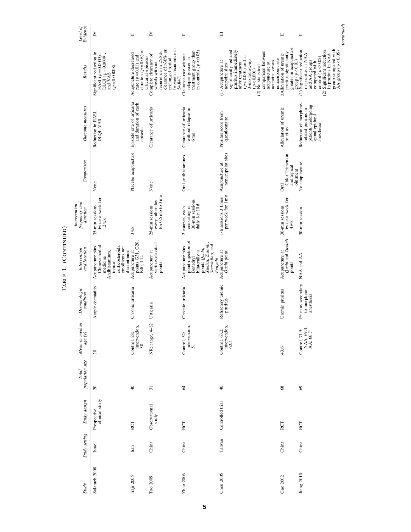| Level of<br>Evidence                      | Σ                                                                                                                                  | $\Box$                                                                                          | Σ                                                                                                                                              | $\blacksquare$                                                                                                                                      | 目                                                                                                                                                                                                                                                                      | Ħ                                                                                                | Ħ                                                                                                                                                                                                          | $_{(continued)}$ |
|-------------------------------------------|------------------------------------------------------------------------------------------------------------------------------------|-------------------------------------------------------------------------------------------------|------------------------------------------------------------------------------------------------------------------------------------------------|-----------------------------------------------------------------------------------------------------------------------------------------------------|------------------------------------------------------------------------------------------------------------------------------------------------------------------------------------------------------------------------------------------------------------------------|--------------------------------------------------------------------------------------------------|------------------------------------------------------------------------------------------------------------------------------------------------------------------------------------------------------------|------------------|
| Results                                   | Significant reduction in<br>DLQI $(p=0.0009)$ ,<br>and VAS<br>EASI ( $p=0.0003$ ),<br>$(p=0.00008)$                                | duration ( $p=0.03$ ) of<br>Acupuncture decreased<br>rate $(p=0.01)$ and<br>urticarial episodes | between recurrence in<br>clearance of >30% or<br>recurrence in 25.8%,<br>Complete clearance of<br>prolonged period<br>wheals without<br>54.84% | in controls ( $p \le 0.05$ )<br>treatment group than<br>Clearance rate without<br>relapse greater in                                                | significantly reduced<br>pruritus immediately<br>comparison between<br>$(p < 0.001)$ and at<br>nonacupoint site<br>acupoint versus<br>3-mo follow-up<br>(1) Acupuncture at<br>after treatment<br>acupuncture at<br>acupoint sites<br>(2) No statistical<br>(p < 0.001) | pruritus significantly<br>greater in acupuncture<br>zAlleviation of uremic<br>group $(p < 0.01)$ | group compared with<br>(1) Significant reduction<br>(2) Significant reduction<br>AA group $(p<0.05)$<br>in pruritus in NAA<br>in pruritus in NAA<br>control $(p < 0.05)$<br>and AA groups<br>compared with |                  |
| Outcome measures                          | Reduction in EASI,<br>DLQI, VAS                                                                                                    | Episode rate of urticaria<br>and duration of each<br>episode                                    | Clearance of urticaria                                                                                                                         | Clearance of urticaria<br>without relapse in<br>6 <sub>mo</sub>                                                                                     | Pruritus score from<br>questionnaire                                                                                                                                                                                                                                   | Alleviation of uremic<br>pruritus                                                                | Reduction of morphine-<br>patients undergoing<br>related pruritus in<br>spinal-epidural<br>anesthesia                                                                                                      |                  |
| Comparison                                | None                                                                                                                               | Placebo acupuncture                                                                             | None                                                                                                                                           | Oral antihistamines                                                                                                                                 | nonacupoint sites<br>Acupuncture at                                                                                                                                                                                                                                    | Chlor-Trimenton<br>and topical<br>ointment<br><b>Oral</b>                                        | No acupuncture                                                                                                                                                                                             |                  |
| frequency and<br>Intervention<br>duration | twice a week for<br>35-min sessions<br>$12$ wk                                                                                     | 3 wk                                                                                            | for $0.5 \text{ mo}$ to $3 \text{ mo}$<br>every other day<br>25-min sessions                                                                   | 30-min sessions<br>daily for 10d<br>consisting of<br>2 courses, each                                                                                | per week for 1 mo<br>1-h sessions 3 times                                                                                                                                                                                                                              | twice a week for<br>30-min sessions<br>$4$ wk                                                    | 30-min session                                                                                                                                                                                             |                  |
| and location<br>Intervention              | corticosteroids,<br>Chinese herbal<br>Acupuncture plus<br>emollients not<br>Antihistamines,<br>discontinued<br>medicine<br>topical | points G31, G20,<br>Acupuncture at<br>B40, L14                                                  | various classical<br>Acupuncture at<br>points                                                                                                  | point-injection of<br>points Quehi,<br>Xuehai, Zusanli,<br>Sanyinjiao, and<br>Acupuncture plus<br>bilaterally at<br>Benadry <sup>1</sup><br>Fengchi | Acupuncture at<br>Quchi point                                                                                                                                                                                                                                          | Quchi and Zusanli<br>Acupuncture at<br>points                                                    | NAA and AA                                                                                                                                                                                                 |                  |
| Dermatologic<br>condition                 | Atopic dermatitis                                                                                                                  | Chronic urticaria                                                                               | Urticaria                                                                                                                                      | Chronic urticaria                                                                                                                                   | Refractory uremic<br>pruritus                                                                                                                                                                                                                                          | Uremic pruritus                                                                                  | Pruritus secondary<br>to morphine<br>anesthesia                                                                                                                                                            |                  |
| Mean or median<br>age(y)                  | $20\,$                                                                                                                             | Control, 28;<br>intervention,<br>30                                                             | NR; range, 4-82                                                                                                                                | intervention,<br>51<br>Control, 52;                                                                                                                 | Control, 63.2;<br>intervention,<br>62.4                                                                                                                                                                                                                                | 43.6                                                                                             | Control, 71.5;<br>NAA, 69.4;<br>AA, 66.7                                                                                                                                                                   |                  |
| population size<br><b>Total</b>           | $20\,$                                                                                                                             | $\uplus$                                                                                        | $\overline{31}$                                                                                                                                | 2                                                                                                                                                   | $\overline{4}$                                                                                                                                                                                                                                                         | $68\,$                                                                                           | $\ensuremath{\mathcal{C}}$                                                                                                                                                                                 |                  |
| Study design                              | Prospective<br>clinical study                                                                                                      | RCT                                                                                             | Observational<br>study                                                                                                                         | RCT                                                                                                                                                 | Controlled trial                                                                                                                                                                                                                                                       | RCT                                                                                              | RCT                                                                                                                                                                                                        |                  |
| Study setting                             | Israel                                                                                                                             | Iran                                                                                            | China                                                                                                                                          | China                                                                                                                                               | Taiwan                                                                                                                                                                                                                                                                 | China                                                                                            | China                                                                                                                                                                                                      |                  |
| <b>Study</b>                              | Salameh 2008                                                                                                                       | Iraji 2005                                                                                      | Тао 2009                                                                                                                                       | Zhao 2006                                                                                                                                           | Chou 2005                                                                                                                                                                                                                                                              | Gao 2002                                                                                         | Jiang 2010                                                                                                                                                                                                 |                  |

TABLE 1. (CONTINUED) Table 1. (Continued)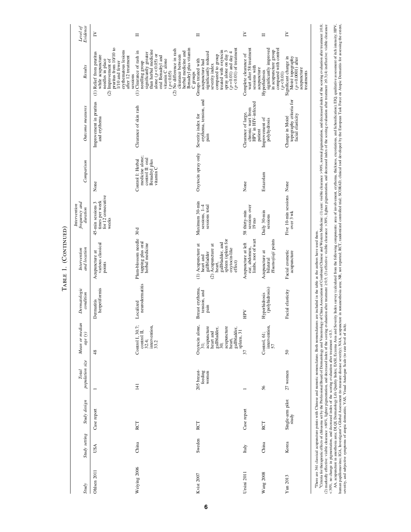| Evidence<br>Level of                      | ≧                                                                                                                                                                                            | Ħ                                                                                                                                                                                                                                                                                                                         | ⊟                                                                                                                                                                                                          | ≧                                                                                | Ħ                                                                                                      | $\geq$                                                                                       |
|-------------------------------------------|----------------------------------------------------------------------------------------------------------------------------------------------------------------------------------------------|---------------------------------------------------------------------------------------------------------------------------------------------------------------------------------------------------------------------------------------------------------------------------------------------------------------------------|------------------------------------------------------------------------------------------------------------------------------------------------------------------------------------------------------------|----------------------------------------------------------------------------------|--------------------------------------------------------------------------------------------------------|----------------------------------------------------------------------------------------------|
| Results                                   | pruritus from 10/10 to<br>erythematous lesions<br>(1) Relief from pruritus<br>while acupuncture<br>after 12 treatment<br>needles in place<br>(2) Improvement of<br>/10 and fewer<br>sessions | Benadryl plus vitamin<br>No difference in rash<br>significantly greater<br>than herbal medicine<br>herbal medicine and<br>Clearance of rash in<br>alone ( $p < 0.05$ ) or<br>clearance between<br>oral Benadryl and<br>vitamin C alone<br>needling group<br>(p < 0.05)<br>C groups<br>$\tilde{\epsilon}$<br>$\widehat{c}$ | $(p<0.01)$ of treatment<br>treated with oxytocin<br>spray alone on day 3<br>significantly reduced<br>$(p=0.01)$ and day 4<br>compared to group<br>Groups treated with<br>acupuncture had<br>severity index | wart after 58 treatment<br>Complete clearance of<br>sessions with<br>acupuncture | significantly improved<br>compared with control<br>in acupuncture group<br>Hyperhidrosis<br>(p < 0.01) | Significant change in<br>Moiré topography<br>$(p=0.0001)$ after<br>acupuncture<br>treatments |
| Outcome measures                          | Improvement in pruritus<br>and erythema                                                                                                                                                      | Clearance of skin rash                                                                                                                                                                                                                                                                                                    | erythema, tension, and<br>Severity index for<br>pain                                                                                                                                                       | HPV in HIV-infected<br>chronic wart from<br>Clearance of large,<br>patient       | Improvement of<br>polyhydrosis                                                                         | topography criteria for<br>facial elasticity<br>Change in Moiré                              |
| Comparison                                | None                                                                                                                                                                                         | medicine alone;<br>control II: oral<br>Control I: Herbal<br>Benadryl plus<br>vitamin C                                                                                                                                                                                                                                    | Oxytocin spray only                                                                                                                                                                                        | None                                                                             | Estazolam                                                                                              |                                                                                              |
| frequency and<br>Intervention<br>duration | for 12 consecutive<br>times per week<br>45-min sessions 3<br>weeks                                                                                                                           | 30d                                                                                                                                                                                                                                                                                                                       | Maximum 30-min<br>sessions total<br>sessions, 1-4                                                                                                                                                          | sessions over<br>58 thirty-min<br>$19 \text{ mo}$                                | Daily 30-min<br>sessions                                                                               | Five 10-min sessions None<br>over 3 wk                                                       |
| and location<br>Intervention              | various classical<br>Acupuncture at<br>points                                                                                                                                                | Plum-blossom needle<br>tapping plus oral<br>herbal medicine                                                                                                                                                                                                                                                               | spleen (spleen for<br>gallbladder, and<br>(1) Acupuncture at<br>Acupuncture at<br>oxytocin-like<br>gallbladder<br>heart and<br>effect)<br>heart.<br>$\widehat{c}$                                          | limbs, root of wart<br>Acupuncture at left<br>ear, abdomen,                      | Huatuojiaji points<br>Acupuncture at<br>bilateral                                                      | Facial cosmetic<br>acupuncture                                                               |
| Dermatologic<br>condition                 | herpetiformis<br>Dermatitis                                                                                                                                                                  | neurodermatitis<br>Localized                                                                                                                                                                                                                                                                                              | Breast erythema,<br>tension, and<br>pain                                                                                                                                                                   | HPV                                                                              | (polyhidrosis)<br>Hyperhidrosis                                                                        | Facial elasticity                                                                            |
| Mean or median<br>$age(y)$                | 48                                                                                                                                                                                           | Control I, 30.7;<br>intervention,<br>33.2<br>control II,<br>32.4;                                                                                                                                                                                                                                                         | Oxytocin alone,<br>acupuncture<br>heart and<br>gallbladder,<br>30;<br>acupuncture<br>gallbladder,<br>spleen, 31<br>heart,                                                                                  | 57                                                                               | intervention, $57$<br>Control, 61;                                                                     | 50                                                                                           |
| population size<br><b>Total</b>           |                                                                                                                                                                                              | $\overline{141}$                                                                                                                                                                                                                                                                                                          | 205 breast-<br>feeding<br>women                                                                                                                                                                            |                                                                                  | 56                                                                                                     | 27 women                                                                                     |
| Study design                              | Case report                                                                                                                                                                                  | RCT                                                                                                                                                                                                                                                                                                                       | RCT                                                                                                                                                                                                        | Case report                                                                      | RCT                                                                                                    | Single-arm pilot<br>study                                                                    |
| Study setting                             | USA                                                                                                                                                                                          | China                                                                                                                                                                                                                                                                                                                     | Sweden                                                                                                                                                                                                     | Italy                                                                            | China                                                                                                  | Korea                                                                                        |
| <b>Study</b>                              | Ohlsen 2011                                                                                                                                                                                  | Weiying 2006                                                                                                                                                                                                                                                                                                              | <b>Kvist 2007</b>                                                                                                                                                                                          | Ursini 2011                                                                      | Wang 2008                                                                                              | Yun 2013                                                                                     |

aThere are 361 classical acupuncture points with Chinese and numeric nomenclature. Both nomenclatures are included in the table as the authors have used them.

Criteria for the<br>appendic effects of chlossma set by the Professional Board of Demanology and Venereology of China Association of Combined Chinese and Western Medicine: (1) cure: visible clearance >90%, normal pigmentation (2) markedly effective: visible clearance >60%, lighter pigmentation, and decreased index of the scoring evaluation after treatment 20.5; (3) effective: visible clearance >30%, lighter pigmentation, and decreased index of  $<$ 30%, no change in pigmentation, and decreased index of the scoring evaluation after treatment  $<$ 0.3.

"Thee ac 361 dasical acquareur points with Chinese and numeric nomenclature. Both nomenclatures are included in the table as the automory are acquarely the acquare accept and consider a compare and the set of the set of th AA, acupuncture in anesthesia area; DLQ1, Dematology Life Quality Index; EASI, Eczenna Area and Severity Index surrey (calculated from the following components; area of involvement, eyrtherma, thickness, excoriations, and human papilomavirus; IGA, Investigator's Global Assessment (to measure thesess severity); NAA, acupuncture in nonansidusta area; NR, not reported; RCT, randomized controlled trial; SCORAD, clinical tool developed by the Eu severity, and subjective symptoms of atopic dermatitis; VAS, Visual Analogue Scale (to rate level of itch).

TABLE 1. (CONTINUED) Table 1. (Continued)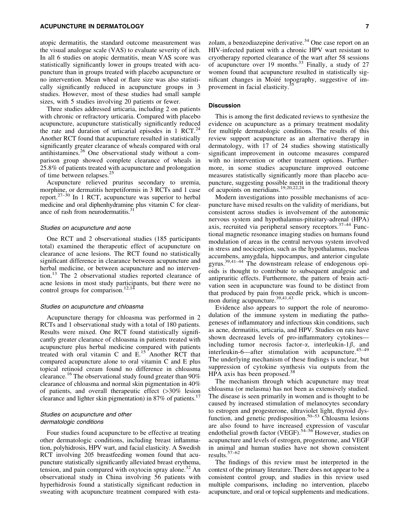## ACUPUNCTURE IN DERMATOLOGY **7** ACUPUNCTURE IN DERMATOLOGY

atopic dermatitis, the standard outcome measurement was the visual analogue scale (VAS) to evaluate severity of itch. In all 6 studies on atopic dermatitis, mean VAS score was statistically significantly lower in groups treated with acupuncture than in groups treated with placebo acupuncture or no intervention. Mean wheal or flare size was also statistically significantly reduced in acupuncture groups in 3 studies. However, most of these studies had small sample sizes, with 5 studies involving 20 patients or fewer.

Three studies addressed urticaria, including 2 on patients with chronic or refractory urticaria. Compared with placebo acupuncture, acupuncture statistically significantly reduced the rate and duration of urticarial episodes in  $1$  RCT.<sup>24</sup> Another RCT found that acupuncture resulted in statistically significantly greater clearance of wheals compared with oral antihistamines.<sup>26</sup> One observational study without a comparison group showed complete clearance of wheals in 25.8% of patients treated with acupuncture and prolongation of time between relapses.<sup>25</sup>

Acupuncture relieved pruritus secondary to uremia, morphine, or dermatitis herpetiformis in 3 RCTs and 1 case report. $27-30$  In 1 RCT, acupuncture was superior to herbal medicine and oral diphenhydramine plus vitamin C for clearance of rash from neurodermatitis.<sup>3</sup>

#### Studies on acupuncture and acne

One RCT and 2 observational studies (185 participants total) examined the therapeutic effect of acupuncture on clearance of acne lesions. The RCT found no statistically significant difference in clearance between acupuncture and herbal medicine, or between acupuncture and no intervention.<sup>13</sup> The 2 observational studies reported clearance of acne lesions in most study participants, but there were no control groups for comparison.<sup>12,14</sup>

## Studies on acupuncture and chloasma

Acupuncture therapy for chloasma was performed in 2 RCTs and 1 observational study with a total of 180 patients. Results were mixed. One RCT found statistically significantly greater clearance of chloasma in patients treated with acupuncture plus herbal medicine compared with patients treated with oral vitamin C and E.<sup>15</sup> Another RCT that compared acupuncture alone to oral vitamin C and E plus topical retinoid cream found no difference in chloasma clearance.<sup>16</sup> The observational study found greater than 90% clearance of chloasma and normal skin pigmentation in 40% of patients, and overall therapeutic effect (>30% lesion clearance and lighter skin pigmentation) in  $87\%$  of patients.<sup>1</sup>

# Studies on acupuncture and other dermatologic conditions

Four studies found acupuncture to be effective at treating other dermatologic conditions, including breast inflammation, polyhidrosis, HPV wart, and facial elasticity. A Swedish RCT involving 205 breastfeeding women found that acupuncture statistically significantly alleviated breast erythema, tension, and pain compared with oxytocin spray alone.<sup>32</sup> An observational study in China involving 56 patients with hyperhidrosis found a statistically significant reduction in sweating with acupuncture treatment compared with estazolam, a benzodiazepine derivative.<sup>34</sup> One case report on an HIV-infected patient with a chronic HPV wart resistant to cryotherapy reported clearance of the wart after 58 sessions of acupuncture over 19 months.<sup>33</sup> Finally, a study of 27 women found that acupuncture resulted in statistically significant changes in Moiré topography, suggestive of improvement in facial elasticity.<sup>3</sup>

#### **Discussion**

This is among the first dedicated reviews to synthesize the evidence on acupuncture as a primary treatment modality for multiple dermatologic conditions. The results of this review support acupuncture as an alternative therapy in dermatology, with 17 of 24 studies showing statistically significant improvement in outcome measures compared with no intervention or other treatment options. Furthermore, in some studies acupuncture improved outcome measures statistically significantly more than placebo acupuncture, suggesting possible merit in the traditional theory of acupoints on meridians.19,20,22,24

Modern investigations into possible mechanisms of acupuncture have mixed results on the validity of meridians, but consistent across studies is involvement of the autonomic nervous system and hypothalamus-pituitary-adrenal (HPA) axis, recruited via peripheral sensory receptors. $37-44$  Functional magnetic resonance imaging studies on humans found modulation of areas in the central nervous system involved in stress and nociception, such as the hypothalamus, nucleus accumbens, amygdala, hippocampus, and anterior cingulate gyrus.39,41–44 The downstream release of endogenous opioids is thought to contribute to subsequent analgesic and antipruritic effects. Furthermore, the pattern of brain activation seen in acupuncture was found to be distinct from that produced by pain from needle prick, which is uncommon during acupuncture.<sup>39,41,43</sup>

Evidence also appears to support the role of neuromodulation of the immune system in mediating the pathogeneses of inflammatory and infectious skin conditions, such as acne, dermatitis, urticaria, and HPV. Studies on rats have shown decreased levels of pro-inflammatory cytokines including tumor necrosis factor- $\alpha$ , interleukin-1 $\beta$ , and interleukin-6—after stimulation with acupuncture.45–49 The underlying mechanism of these findings is unclear, but suppression of cytokine synthesis via outputs from the HPA axis has been proposed. $38$ 

The mechanism through which acupuncture may treat chloasma (or melasma) has not been as extensively studied. The disease is seen primarily in women and is thought to be caused by increased stimulation of melanocytes secondary to estrogen and progesterone, ultraviolet light, thyroid dysfunction, and genetic predisposition.<sup>50–53</sup> Chloasma lesions are also found to have increased expression of vascular endothelial growth factor (VEGF).<sup>54–56</sup> However, studies on acupuncture and levels of estrogen, progesterone, and VEGF in animal and human studies have not shown consistent results.57–62

The findings of this review must be interpreted in the context of the primary literature. There does not appear to be a consistent control group, and studies in this review used multiple comparisons, including no intervention, placebo acupuncture, and oral or topical supplements and medications.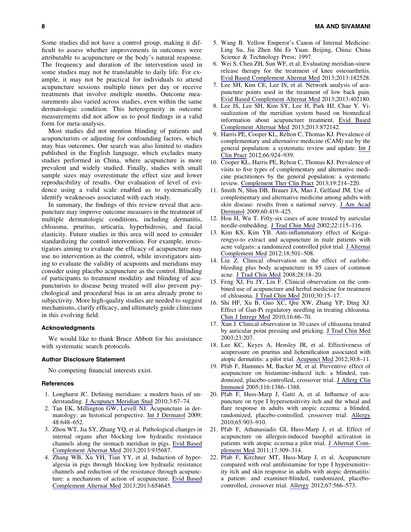Some studies did not have a control group, making it difficult to assess whether improvements in outcomes were attributable to acupuncture or the body's natural response. The frequency and duration of the intervention used in some studies may not be translatable to daily life. For example, it may not be practical for individuals to attend acupuncture sessions multiple times per day or receive treatments that involve multiple months. Outcome measurements also varied across studies, even within the same dermatologic condition. This heterogeneity in outcome measurements did not allow us to pool findings in a valid form for meta-analysis.

Most studies did not mention blinding of patients and acupuncturists or adjusting for confounding factors, which may bias outcomes. Our search was also limited to studies published in the English language, which excludes many studies performed in China, where acupuncture is more prevalent and widely studied. Finally, studies with small sample sizes may overestimate the effect size and lower reproducibility of results. Our evaluation of level of evidence using a valid scale enabled us to systematically identify weaknesses associated with each study.

In summary, the findings of this review reveal that acupuncture may improve outcome measures in the treatment of multiple dermatologic conditions, including dermatitis, chloasma, pruritus, urticaria, hyperhidrosis, and facial elasticity. Future studies in this area will need to consider standardizing the control intervention. For example, investigators aiming to evaluate the efficacy of acupuncture may use no intervention as the control, while investigators aiming to evaluate the validity of acupoints and meridians may consider using placebo acupuncture as the control. Blinding of participants to treatment modality and blinding of acupuncturists to disease being treated will also prevent psychological and procedural bias in an area already prone to subjectivity. More high-quality studies are needed to suggest mechanisms, clarify efficacy, and ultimately guide clinicians in this evolving field.

## Acknowledgments

We would like to thank Bruce Abbott for his assistance with systematic search protocols.

#### Author Disclosure Statement

No competing financial interests exist.

#### **References**

- 1. Longhurst JC. Defining meridians: a modern basis of understanding. [J Acupunct Meridian Stud](http://online.liebertpub.com/action/showLinks?pmid=20633518&crossref=10.1016%2FS2005-2901%2810%2960014-3) 2010;3:67–74.
- 2. Tan EK, Millington GW, Levell NJ. Acupuncture in dermatology: an historical perspective. [Int J Dermatol](http://online.liebertpub.com/action/showLinks?pmid=19538380&crossref=10.1111%2Fj.1365-4632.2009.03899.x) 2009; 48:648–652.
- 3. Zhou WT, Jia SY, Zhang YQ, et al. Pathological changes in internal organs after blocking low hydraulic resistance channels along the stomach meridian in pigs. [Evid Based](http://online.liebertpub.com/action/showLinks?pmid=23935689) [Complement Alternat Med](http://online.liebertpub.com/action/showLinks?pmid=23935689) 2013;2013:935687.
- 4. Zhang WB, Xu YH, Tian YY, et al. Induction of hyperalgesia in pigs through blocking low hydraulic resistance channels and reduction of the resistance through acupuncture: a mechanism of action of acupuncture. [Evid Based](http://online.liebertpub.com/action/showLinks?pmid=23997798) [Complement Alternat Med](http://online.liebertpub.com/action/showLinks?pmid=23997798) 2013;2013:654645.
- 5. Wang B. Yellow Emperor's Canon of Internal Medicine: Ling Su, Jiu Zhen Shi Er Yuan. Beijing, China: China Science & Technology Press; 1997.
- 6. Wei S, Chen ZH, Sun WF, et al. Evaluating meridian-sinew release therapy for the treatment of knee osteoarthritis. [Evid Based Complement Alternat Med](http://online.liebertpub.com/action/showLinks?pmid=23861698) 2013;2013:182528.
- 7. Lee SH, Kim CE, Lee IS, et al. Network analysis of acupuncture points used in the treatment of low back pain. [Evid Based Complement Alternat Med](http://online.liebertpub.com/action/showLinks?pmid=23956769) 2013;2013:402180.
- 8. Lee IS, Lee SH, Kim SY, Lee H, Park HJ, Chae Y. Visualization of the meridian system based on biomedical information about acupuncture treatment. [Evid Based](http://online.liebertpub.com/action/showLinks?pmid=23781270) [Complement Alternat Med](http://online.liebertpub.com/action/showLinks?pmid=23781270) 2013;2013:872142.
- 9. Harris PE, Cooper KL, Relton C, Thomas KJ. Prevalence of complementary and alternative medicine (CAM) use by the general population: a systematic review and update. [Int J](http://online.liebertpub.com/action/showLinks?pmid=22994327&crossref=10.1111%2Fj.1742-1241.2012.02945.x) [Clin Pract](http://online.liebertpub.com/action/showLinks?pmid=22994327&crossref=10.1111%2Fj.1742-1241.2012.02945.x) 2012;66:924–939.
- 10. Cooper KL, Harris PE, Relton C, Thomas KJ. Prevalence of visits to five types of complementary and alternative medicine practitioners by the general population: a systematic review. [Complement Ther Clin Pract](http://online.liebertpub.com/action/showLinks?pmid=24199976&crossref=10.1016%2Fj.ctcp.2013.06.006) 2013;19:214–220.
- 11. Smith N, Shin DB, Brauer JA, Mao J, Gelfand JM. Use of complementary and alternative medicine among adults with skin disease: results from a national survey. [J Am Acad](http://online.liebertpub.com/action/showLinks?pmid=19157642&crossref=10.1016%2Fj.jaad.2008.11.905) [Dermatol](http://online.liebertpub.com/action/showLinks?pmid=19157642&crossref=10.1016%2Fj.jaad.2008.11.905) 2009;60:419–425.
- 12. Hou H, Wu T. Fifty-six cases of acne treated by auricular needle-embedding. [J Trad Chin Med](http://online.liebertpub.com/action/showLinks?pmid=12125483) 2002;22:115–116.
- 13. Kim KS, Kim YB. Anti-inflammatory effect of Keigairengyo-to extract and acupuncture in male patients with acne vulgaris: a randomized controlled pilot trial. [J Alternat](http://online.liebertpub.com/action/showLinks?system=10.1089%2Facm.2011.0218&pmid=22594649) [Complement Med](http://online.liebertpub.com/action/showLinks?system=10.1089%2Facm.2011.0218&pmid=22594649) 2012;18:501–508.
- 14. Liu Z. Clinical observation on the effect of earlobebleeding plus body acupuncture in 85 cases of common acne. [J Trad Chin Med](http://online.liebertpub.com/action/showLinks?pmid=18416078&crossref=10.1016%2FS0254-6272%2808%2960007-2) 2008;28:18–20.
- 15. Feng XJ, Fu JY, Liu F. Clinical observation on the combined use of acupuncture and herbal medicine for treatment of chloasma. [J Trad Chin Med](http://online.liebertpub.com/action/showLinks?pmid=20397455&crossref=10.1016%2FS0254-6272%2810%2960004-0) 2010;30:15–17.
- 16. Shi HF, Xu B, Guo XC, Qiu XW, Zhang YP, Ding XJ. Effect of Gan-Pi regulatory needling in treating chloasma. [Chin J Intregr Med](http://online.liebertpub.com/action/showLinks?pmid=20131039&crossref=10.1007%2Fs11655-010-0066-3) 2010;16:66–70.
- 17. Xun J. Clinical observation in 30 cases of chloasma treated by auricular point pressing and pricking. [J Trad Chin Med](http://online.liebertpub.com/action/showLinks?pmid=14535192) 2003;23:207.
- 18. Lee KC, Keyes A, Hensley JR, et al. Effectiveness of acupressure on pruritus and lichenification associated with atopic dermatitis: a pilot trial. [Acupunct Med](http://online.liebertpub.com/action/showLinks?pmid=22207450&crossref=10.1136%2Facupmed-2011-010088) 2012;30:8–11.
- 19. Pfab F, Hammes M, Backer M, et al. Preventive effect of acupuncture on histamine-induced itch: a blinded, randomized, placebo-controlled, crossover trial. [J Allerg Clin](http://online.liebertpub.com/action/showLinks?pmid=16337477&crossref=10.1016%2Fj.jaci.2005.08.055) [Immunol](http://online.liebertpub.com/action/showLinks?pmid=16337477&crossref=10.1016%2Fj.jaci.2005.08.055) 2005;116:1386–1388.
- 20. Pfab F, Huss-Marp J, Gatti A, et al. Influence of acupuncture on type I hypersensitivity itch and the wheal and flare response in adults with atopic eczema: a blinded, randomized, placebo-controlled, crossover trial. [Allergy](http://online.liebertpub.com/action/showLinks?pmid=20002660&crossref=10.1111%2Fj.1398-9995.2009.02284.x) 2010;65:903–910.
- 21. Pfab F, Athanasiadis GI, Huss-Marp J, et al. Effect of acupuncture on allergen-induced basophil activation in patients with atopic eczema:a pilot trial. [J Alternat Com](http://online.liebertpub.com/action/showLinks?system=10.1089%2Facm.2009.0684&pmid=21443446)[plement Med](http://online.liebertpub.com/action/showLinks?system=10.1089%2Facm.2009.0684&pmid=21443446) 2011;17:309–314.
- 22. Pfab F, Kirchner MT, Huss-Marp J, et al. Acupuncture compared with oral antihistamine for type I hypersensitivity itch and skin response in adults with atopic dermatitis: a patient- and examiner-blinded, randomized, placebocontrolled, crossover trial. [Allergy](http://online.liebertpub.com/action/showLinks?pmid=22313287&crossref=10.1111%2Fj.1398-9995.2012.02789.x) 2012;67:566–573.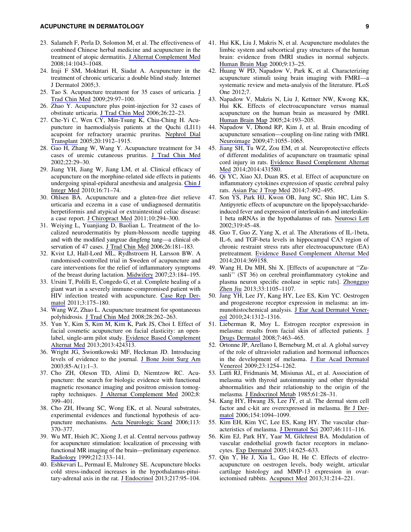## ACUPUNCTURE IN DERMATOLOGY 9

- 23. Salameh F, Perla D, Solomon M, et al. The effectiveness of combined Chinese herbal medicine and acupuncture in the treatment of atopic dermatitis. [J Alternat Complement Med](http://online.liebertpub.com/action/showLinks?system=10.1089%2Facm.2008.0162&pmid=18990051) 2008;14:1043–1048.
- 24. Iraji F SM, Mokhtari H, Siadat A. Acupuncture in the treatment of chronic urticaria: a double blind study. Internet J Dermatol 2005;3.
- 25. Tao S. Acupuncture treatment for 35 cases of urticaria. [J](http://online.liebertpub.com/action/showLinks?pmid=19663093&crossref=10.1016%2FS0254-6272%2809%2960041-8) [Trad Chin Med](http://online.liebertpub.com/action/showLinks?pmid=19663093&crossref=10.1016%2FS0254-6272%2809%2960041-8) 2009;29:97–100.
- 26. Zhao Y. Acupuncture plus point-injection for 32 cases of obstinate urticaria. [J Trad Chin Med](http://online.liebertpub.com/action/showLinks?pmid=16705847) 2006;26:22–23.
- 27. Che-Yi C, Wen CY, Min-Tsung K, Chiu-Ching H. Acupuncture in haemodialysis patients at the Quchi (LI11) acupoint for refractory uraemic pruritus. [Nephrol Dial](http://online.liebertpub.com/action/showLinks?pmid=15985509&crossref=10.1093%2Fndt%2Fgfh955) [Transplant](http://online.liebertpub.com/action/showLinks?pmid=15985509&crossref=10.1093%2Fndt%2Fgfh955) 2005;20:1912–1915.
- 28. Gao H, Zhang W, Wang Y. Acupuncture treatment for 34 cases of uremic cutaneous pruritus. [J Trad Chin Med](http://online.liebertpub.com/action/showLinks?pmid=11977515) 2002;22:29–30.
- 29. Jiang YH, Jiang W, Jiang LM, et al. Clinical efficacy of acupuncture on the morphine-related side effects in patients undergoing spinal-epidural anesthesia and analgesia. [Chin J](http://online.liebertpub.com/action/showLinks?pmid=20131040&crossref=10.1007%2Fs11655-010-0070-7) [Integr Med](http://online.liebertpub.com/action/showLinks?pmid=20131040&crossref=10.1007%2Fs11655-010-0070-7) 2010;16:71–74.
- 30. Ohlsen BA. Acupuncture and a gluten-free diet relieve urticaria and eczema in a case of undiagnosed dermatitis herpetiformis and atypical or extraintestinal celiac disease: a case report. [J Chiropract Med](http://online.liebertpub.com/action/showLinks?pmid=22654688&crossref=10.1016%2Fj.jcm.2011.06.003) 2011;10:294–300.
- 31. Weiying L, Yuanjiang D, Baolian L. Treatment of the localized neurodermatitis by plum-blossom needle tapping and with the modified yangxue dingfeng tang—a clinical observation of 47 cases. [J Trad Chin Med](http://online.liebertpub.com/action/showLinks?pmid=17078443) 2006;26:181–183.
- 32. Kvist LJ, Hall-Lord ML, Rydhstroem H, Larsson BW. A randomised-controlled trial in Sweden of acupuncture and care interventions for the relief of inflammatory symptoms of the breast during lactation. [Midwifery](http://online.liebertpub.com/action/showLinks?pmid=17052823&crossref=10.1016%2Fj.midw.2006.02.003) 2007;23:184–195.
- 33. Ursini T, Polilli E, Congedo G, et al. Complete healing of a giant wart in a severely immune-compromised patient with HIV infection treated with acupuncture. [Case Rep Der](http://online.liebertpub.com/action/showLinks?pmid=22059074&crossref=10.1159%2F000331427)[matol](http://online.liebertpub.com/action/showLinks?pmid=22059074&crossref=10.1159%2F000331427) 2011;3:175–180.
- 34. Wang WZ, Zhao L. Acupuncture treatment for spontaneous polyhidrosis. [J Trad Chin Med](http://online.liebertpub.com/action/showLinks?pmid=19226894&crossref=10.1016%2FS0254-6272%2809%2960006-6) 2008;28:262–263.
- 35. Yun Y, Kim S, Kim M, Kim K, Park JS, Choi I. Effect of facial cosmetic acupuncture on facial elasticity: an openlabel, single-arm pilot study. [Evidence Based Complement](http://online.liebertpub.com/action/showLinks?pmid=23983778&crossref=10.1155%2F2013%2F424313) [Alternat Med](http://online.liebertpub.com/action/showLinks?pmid=23983778&crossref=10.1155%2F2013%2F424313) 2013;2013:424313.
- 36. Wright JG, Swiontkowski MF, Heckman JD. Introducing levels of evidence to the journal. [J Bone Joint Surg Am](http://online.liebertpub.com/action/showLinks?pmid=12533564&crossref=10.1302%2F0301-620X.85B1.14063)  $2003;85-A(1):1-3.$
- 37. Cho ZH, Oleson TD, Alimi D, Niemtzow RC. Acupuncture: the search for biologic evidence with functional magnetic resonance imaging and positron emission tomography techniques. [J Alternat Complement Med](http://online.liebertpub.com/action/showLinks?system=10.1089%2F107555302760253577&pmid=12230898) 2002;8: 399–401.
- 38. Cho ZH, Hwang SC, Wong EK, et al. Neural substrates, experimental evidences and functional hypothesis of acupuncture mechanisms. [Acta Neurologic Scand](http://online.liebertpub.com/action/showLinks?pmid=16674603&crossref=10.1111%2Fj.1600-0404.2006.00600.x) 2006;113: 370–377.
- 39. Wu MT, Hsieh JC, Xiong J, et al. Central nervous pathway for acupuncture stimulation: localization of processing with functional MR imaging of the brain—preliminary experience. [Radiology](http://online.liebertpub.com/action/showLinks?pmid=10405732&crossref=10.1148%2Fradiology.212.1.r99jl04133) 1999;212:133–141.
- 40. Eshkevari L, Permaul E, Mulroney SE. Acupuncture blocks cold stress-induced increases in the hypothalamus-pituitary-adrenal axis in the rat. [J Endocrinol](http://online.liebertpub.com/action/showLinks?pmid=23386059&crossref=10.1530%2FJOE-12-0404) 2013;217:95–104.
- 41. Hui KK, Liu J, Makris N, et al. Acupuncture modulates the limbic system and subcortical gray structures of the human brain: evidence from fMRI studies in normal subjects. [Human Brain Map](http://online.liebertpub.com/action/showLinks?pmid=10643726&crossref=10.1002%2F%28SICI%291097-0193%282000%299%3A1%3C13%3A%3AAID-HBM2%3E3.0.CO%3B2-F) 2000;9:13–25.
- 42. Huang W PD, Napadow V, Park K, et al. Characterizing acupuncture stimuli using brain imaging with FMRI—a systematic review and meta-analysis of the literature. PLoS One 2012;7.
- 43. Napadow V, Makris N, Liu J, Kettner NW, Kwong KK, Hui KK. Effects of electroacupuncture versus manual acupuncture on the human brain as measured by fMRI. [Human Brain Map](http://online.liebertpub.com/action/showLinks?pmid=15499576&crossref=10.1002%2Fhbm.20081) 2005;24:193–205.
- 44. Napadow V, Dhond RP, Kim J, et al. Brain encoding of acupuncture sensation—coupling on-line rating with fMRI. [Neuroimage](http://online.liebertpub.com/action/showLinks?pmid=19500677&crossref=10.1016%2Fj.neuroimage.2009.05.079) 2009;47:1055–1065.
- 45. Jiang SH, Tu WZ, Zou EM, et al. Neuroprotective effects of different modalities of acupuncture on traumatic spinal cord injury in rats. [Evidence Based Complement Alternat](http://online.liebertpub.com/action/showLinks?pmid=24803946) [Med](http://online.liebertpub.com/action/showLinks?pmid=24803946) 2014;2014:431580.
- 46. Qi YC, Xiao XJ, Duan RS, et al. Effect of acupuncture on inflammatory cytokines expression of spastic cerebral palsy rats. [Asian Pac J Trop Med](http://online.liebertpub.com/action/showLinks?pmid=25066401&crossref=10.1016%2FS1995-7645%2814%2960081-X) 2014;7:492–495.
- 47. Son YS, Park HJ, Kwon OB, Jung SC, Shin HC, Lim S. Antipyretic effects of acupuncture on the lipopolysaccharideinduced fever and expression of interleukin-6 and interleukin-1 beta mRNAs in the hypothalamus of rats. [Neurosci Lett](http://online.liebertpub.com/action/showLinks?pmid=11814650&crossref=10.1016%2FS0304-3940%2801%2902538-1) 2002;319:45–48.
- 48. Guo T, Guo Z, Yang X, et al. The Alterations of IL-1beta, IL-6, and TGF-beta levels in hippocampal CA3 region of chronic restraint stress rats after electroacupuncture (EA) pretreatment. [Evidence Based Complement Alternat Med](http://online.liebertpub.com/action/showLinks?pmid=24795767) 2014;2014:369158.
- 49. Wang H, Du MH, Shi X. [Effects of acupuncture at ''Zusanli'' (ST 36) on cerebral proinflammatory cytokine and plasma neuron specific enolase in septic rats]. [Zhongguo](http://online.liebertpub.com/action/showLinks?pmid=24617240) [Zhen Jiu](http://online.liebertpub.com/action/showLinks?pmid=24617240) 2013;33:1105–1107.
- 50. Jang YH, Lee JY, Kang HY, Lee ES, Kim YC. Oestrogen and progesterone receptor expression in melasma: an immunohistochemical analysis. [J Eur Acad Dermatol Vener](http://online.liebertpub.com/action/showLinks?pmid=20337826&crossref=10.1111%2Fj.1468-3083.2010.03638.x)[eol](http://online.liebertpub.com/action/showLinks?pmid=20337826&crossref=10.1111%2Fj.1468-3083.2010.03638.x) 2010;24:1312–1316.
- 51. Lieberman R, Moy L. Estrogen receptor expression in melasma: results from facial skin of affected patients. [J](http://online.liebertpub.com/action/showLinks?pmid=18505139) [Drugs Dermatol](http://online.liebertpub.com/action/showLinks?pmid=18505139) 2008;7:463–465.
- 52. Ortonne JP, Arellano I, Berneburg M, et al. A global survey of the role of ultraviolet radiation and hormonal influences in the development of melasma. [J Eur Acad Dermatol](http://online.liebertpub.com/action/showLinks?pmid=19486232&crossref=10.1111%2Fj.1468-3083.2009.03295.x) [Venereol](http://online.liebertpub.com/action/showLinks?pmid=19486232&crossref=10.1111%2Fj.1468-3083.2009.03295.x) 2009;23:1254–1262.
- 53. Lutfi RJ, Fridmanis M, Misiunas AL, et al. Association of melasma with thyroid autoimmunity and other thyroidal abnormalities and their relationship to the origin of the melasma. [J Endocrinol Metab](http://online.liebertpub.com/action/showLinks?crossref=10.1210%2Fjcem-61-1-28) 1985;61:28–31.
- 54. Kang HY, Hwang JS, Lee JY, et al. The dermal stem cell factor and c-kit are overexpressed in melasma. [Br J Der](http://online.liebertpub.com/action/showLinks?pmid=16704639&crossref=10.1111%2Fj.1365-2133.2006.07179.x)[matol](http://online.liebertpub.com/action/showLinks?pmid=16704639&crossref=10.1111%2Fj.1365-2133.2006.07179.x) 2006;154:1094–1099.
- 55. Kim EH, Kim YC, Lee ES, Kang HY. The vascular characteristics of melasma. [J Dermatol Sci](http://online.liebertpub.com/action/showLinks?pmid=17363223&crossref=10.1016%2Fj.jdermsci.2007.01.009) 2007;46:111–116.
- 56. Kim EJ, Park HY, Yaar M, Gilchrest BA. Modulation of vascular endothelial growth factor receptors in melanocytes. [Exp Dermatol](http://online.liebertpub.com/action/showLinks?pmid=16026585&crossref=10.1111%2Fj.0906-6705.2005.00345.x) 2005;14:625–633.
- 57. Qin Y, He J, Xia L, Guo H, He C. Effects of electroacupuncture on oestrogen levels, body weight, articular cartilage histology and MMP-13 expression in ovariectomised rabbits. [Acupunct Med](http://online.liebertpub.com/action/showLinks?pmid=23519019&crossref=10.1136%2Facupmed-2012-010289) 2013;31:214–221.